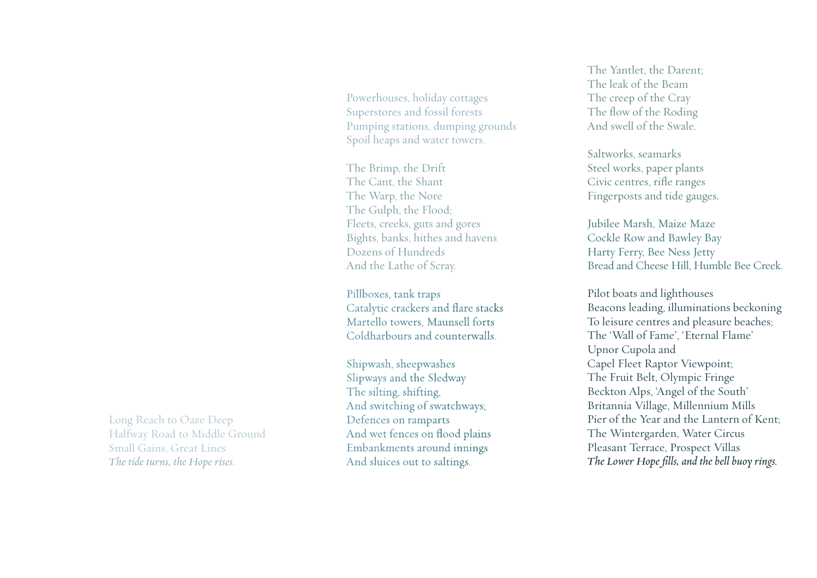Powerhouses, holiday cottages Superstores and fossil forests Pumping stations, dumping grounds Spoil heaps and water towers.

The Brimp, the Drift The Cant, the Shant The Warp, the Nore The Gulph, the Flood; Fleets, creeks, guts and gores Bights, banks, hithes and havens Dozens of Hundreds And the Lathe of Scray.

Pillboxes, tank traps Catalytic crackers and fl are stacks M a rtello towers, Maunsell forts Coldha rbours and counte rwalls.

Shipwash, sheepwashes Slipways and the Sledway The silting, shifting, And switching of swatchways; Defences on ramparts And wet fences on flood plains Embankments around innings And sluices out to saltings.

The Yantlet, the Darent<sup>;</sup> The leak of the Beam The creep of the Cray The flow of the Roding And swell of the Swale.

Saltworks, seamarks Steel works, paper plants Civic centres, rifle ranges Fingerposts and tide gauges .

Jubilee Marsh, Maize Maze Cockle Row and Bawley Bay Harty Ferry, Bee Ness Jetty Bread and Cheese Hill, Humble Bee Creek.

Pilot boats and lighthouses Beacons leading, illuminations beckoning To leisure centres and pleasure beaches; The 'Wall of Fame', 'Eternal Flame' Upnor Cupola and Capel Fleet Raptor Viewpoint; The Fruit Belt, Olympic Fringe Beckton Alps, 'Angel of the South' Britannia Village, Millennium Mills Pier of the Year and the Lantern of Kent; The Wintergarden, Water Circus Pleasant Terrace, Prospect Villas *The Lower Hope fills, and the bell buoy rings.*

Long Reach to Oaze Deep Halfway Road to Middle Ground Small Gains, Great Lines *The tide turns, the Hope rises.*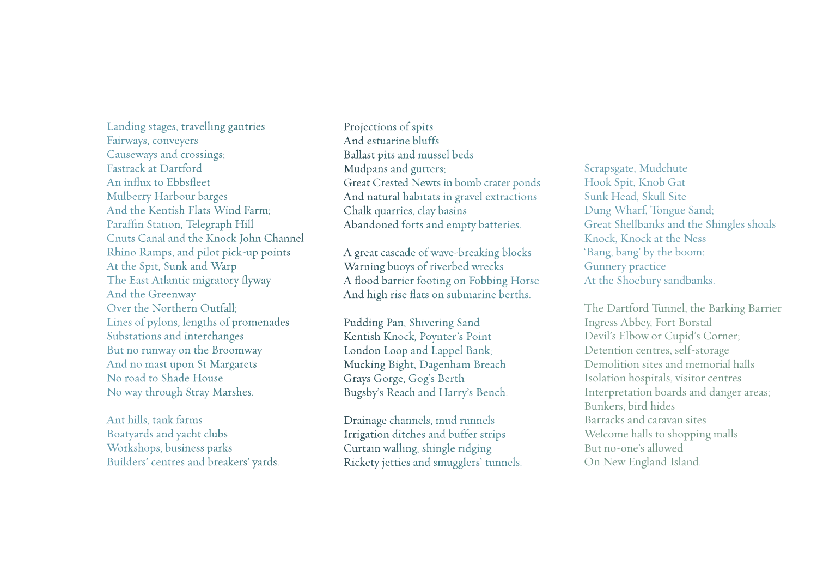Landing stages, travelling gantries Fairways, conveyers Causeways and crossings; Fastrack at Dartford An influx to Ebbsfleet Mulberry Harbour barges And the Kentish Flats Wind Farm; Paraffin Station, Telegraph Hill Cnuts Canal and the Knock John Channel Rhino Ramps, and pilot pick-up points At the Spit, Sunk and Warp The East Atlantic migratory flyway And the Greenway Over the Northern Outfall; Lines of pylons, lengths of promenades Substations and interchanges But no runway on the Broomway And no mast upon St Margarets No road to Shade House No way through Stray Marshes.

Ant hills, tank farms Boatyards and yacht clubs Workshops, business parks Builders' centres and breakers' yards. Projections of spits And estuarine bluffs Ballast pits and mussel beds Mudpans and gutters; Great Crested Newts in bomb crater ponds And natural habitats in gravel extractions Chalk quarries, clay basins Abandoned forts and empty batteries.

A great cascade of wave-breaking blocks Warning buoys of riverbed wrecks A flood barrier footing on Fobbing Horse And high rise flats on submarine berths.

Pudding Pan, Shivering Sand Kentish Knock, Poynter's Point London Loop and Lappel Bank; Mucking Bight, Dagenham Breach Grays Gorge, Gog's Berth Bugsby's Reach and Harry's Bench.

Drainage channels, mud runnels Irrigation ditches and buffer strips Curtain walling, shingle ridging Rickety jetties and smugglers' tunnels.

Scrapsgate, Mudchute Hook Spit, Knob Gat Sunk Head, Skull Site Dung Wharf, Tongue Sand; Great Shellbanks and the Shingles shoals Knock, Knock at the Ness 'Bang, bang' by the boom: Gunnery practice At the Shoebury sandbanks.

The Dartford Tunnel, the Barking Barrier Ingress Abbey, Fort Borstal Devil's Elbow or Cupid's Corner; Detention centres, self-storage Demolition sites and memorial halls Isolation hospitals, visitor centres Interpretation boards and danger areas; Bunkers, bird hides Barracks and caravan sites Welcome halls to shopping malls But no-one's allowed On New England Island.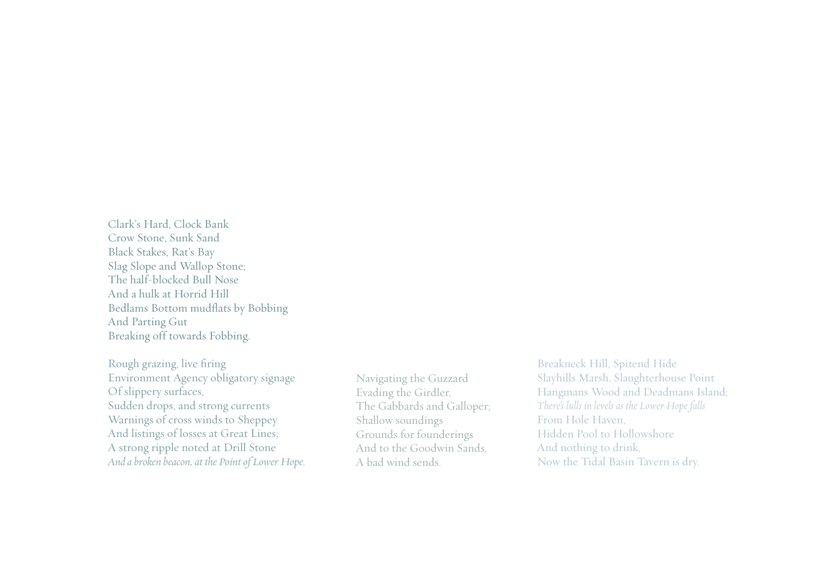Clark's Hard, Clock Bank Crow Stone, Sunk Sand Black Stakes, Rat's Bay Slag Slope and Wallop Stone; The half-blocked Bull Nose And a hulk at Horrid Hill Bedlams Bottom mudflats by Bobbing And Parting Gut Breaking off towards Fobbing.

Rough grazing, live firing Environment Agency obligatory signage Of slippery surfaces, Sudden drops, and strong currents Warnings of cross winds to Sheppey And listings of losses at Great Lines; A strong ripple noted at Drill Stone *And a broken beacon, at the Point of Lower Hope.*

Navigating the Guzzard Evading the Girdler, The Gabbards and Galloper; Shallow soundings Grounds for founderings And to the Goodwin Sands, A bad wind sends.

Breakneck Hill, Spitend Hide Slayhills Marsh, Slaughterhouse Point Hangmans Wood and Deadmans Island; *There's lulls in levels as the Lower Hope falls* From Hole Haven, Hidden Pool to Hollowshore And nothing to drink, Now the Tidal Basin Tavern is dry.